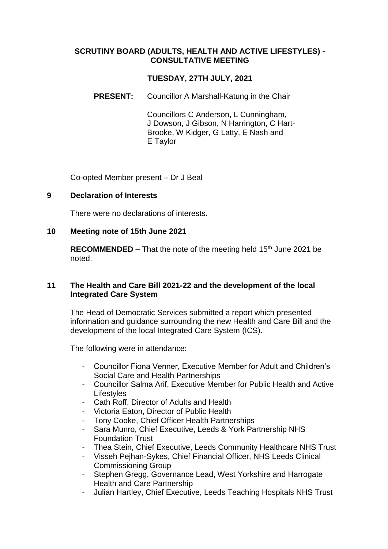## **SCRUTINY BOARD (ADULTS, HEALTH AND ACTIVE LIFESTYLES) - CONSULTATIVE MEETING**

# **TUESDAY, 27TH JULY, 2021**

**PRESENT:** Councillor A Marshall-Katung in the Chair

Councillors C Anderson, L Cunningham, J Dowson, J Gibson, N Harrington, C Hart-Brooke, W Kidger, G Latty, E Nash and E Taylor

Co-opted Member present – Dr J Beal

#### **9 Declaration of Interests**

There were no declarations of interests.

#### **10 Meeting note of 15th June 2021**

**RECOMMENDED –** That the note of the meeting held 15<sup>th</sup> June 2021 be noted.

## **11 The Health and Care Bill 2021-22 and the development of the local Integrated Care System**

The Head of Democratic Services submitted a report which presented information and guidance surrounding the new Health and Care Bill and the development of the local Integrated Care System (ICS).

The following were in attendance:

- Councillor Fiona Venner, Executive Member for Adult and Children's Social Care and Health Partnerships
- Councillor Salma Arif, Executive Member for Public Health and Active **Lifestyles**
- Cath Roff, Director of Adults and Health
- Victoria Eaton, Director of Public Health
- Tony Cooke, Chief Officer Health Partnerships
- Sara Munro, Chief Executive, Leeds & York Partnership NHS Foundation Trust
- Thea Stein, Chief Executive, Leeds Community Healthcare NHS Trust
- Visseh Pejhan-Sykes, Chief Financial Officer, NHS Leeds Clinical Commissioning Group
- Stephen Gregg, Governance Lead, West Yorkshire and Harrogate Health and Care Partnership
- Julian Hartley, Chief Executive, Leeds Teaching Hospitals NHS Trust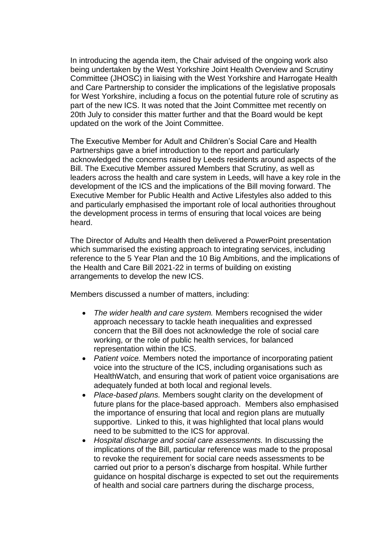In introducing the agenda item, the Chair advised of the ongoing work also being undertaken by the West Yorkshire Joint Health Overview and Scrutiny Committee (JHOSC) in liaising with the West Yorkshire and Harrogate Health and Care Partnership to consider the implications of the legislative proposals for West Yorkshire, including a focus on the potential future role of scrutiny as part of the new ICS. It was noted that the Joint Committee met recently on 20th July to consider this matter further and that the Board would be kept updated on the work of the Joint Committee.

The Executive Member for Adult and Children's Social Care and Health Partnerships gave a brief introduction to the report and particularly acknowledged the concerns raised by Leeds residents around aspects of the Bill. The Executive Member assured Members that Scrutiny, as well as leaders across the health and care system in Leeds, will have a key role in the development of the ICS and the implications of the Bill moving forward. The Executive Member for Public Health and Active Lifestyles also added to this and particularly emphasised the important role of local authorities throughout the development process in terms of ensuring that local voices are being heard.

The Director of Adults and Health then delivered a PowerPoint presentation which summarised the existing approach to integrating services, including reference to the 5 Year Plan and the 10 Big Ambitions, and the implications of the Health and Care Bill 2021-22 in terms of building on existing arrangements to develop the new ICS.

Members discussed a number of matters, including:

- *The wider health and care system.* Members recognised the wider approach necessary to tackle heath inequalities and expressed concern that the Bill does not acknowledge the role of social care working, or the role of public health services, for balanced representation within the ICS.
- *Patient voice.* Members noted the importance of incorporating patient voice into the structure of the ICS, including organisations such as HealthWatch, and ensuring that work of patient voice organisations are adequately funded at both local and regional levels.
- *Place-based plans.* Members sought clarity on the development of future plans for the place-based approach. Members also emphasised the importance of ensuring that local and region plans are mutually supportive. Linked to this, it was highlighted that local plans would need to be submitted to the ICS for approval.
- *Hospital discharge and social care assessments.* In discussing the implications of the Bill, particular reference was made to the proposal to revoke the requirement for social care needs assessments to be carried out prior to a person's discharge from hospital. While further guidance on hospital discharge is expected to set out the requirements of health and social care partners during the discharge process,